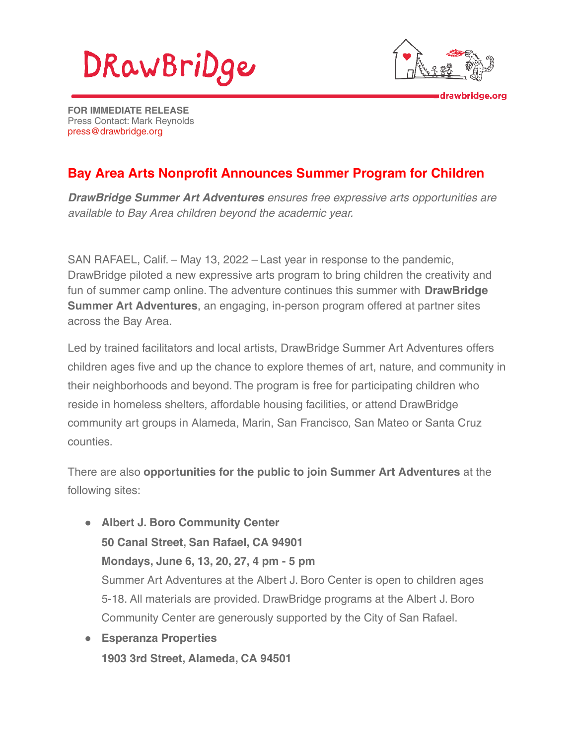



drawbridge.org

**FOR IMMEDIATE RELEASE** Press Contact: Mark Reynolds [press@drawbridge.org](mailto:press@drawbridge.org)

## **Bay Area Arts Nonprofit Announces Summer Program for Children**

**DrawBridge Summer Art Adventures** ensures free expressive arts opportunities are available to Bay Area children beyond the academic year.

SAN RAFAEL, Calif. – May 13, 2022 – Last year in response to the pandemic, DrawBridge piloted a new expressive arts program to bring children the creativity and fun of summer camp online. The adventure continues this summer with **DrawBridge Summer Art Adventures**, an engaging, in-person program offered at partner sites across the Bay Area.

Led by trained facilitators and local artists, DrawBridge Summer Art Adventures offers children ages five and up the chance to explore themes of art, nature, and community in their neighborhoods and beyond. The program is free for participating children who reside in homeless shelters, affordable housing facilities, or attend DrawBridge community art groups in Alameda, Marin, San Francisco, San Mateo or Santa Cruz counties.

There are also **opportunities for the public to join Summer Art Adventures** at the following sites:

- **Albert J. Boro Community Center 50 Canal Street, San Rafael, CA 94901 Mondays, June 6, 13, 20, 27, 4 pm - 5 pm** Summer Art Adventures at the Albert J. Boro Center is open to children ages 5-18. All materials are provided. DrawBridge programs at the Albert J. Boro Community Center are generously supported by the City of San Rafael.
- **Esperanza Properties 1903 3rd Street, Alameda, CA 94501**